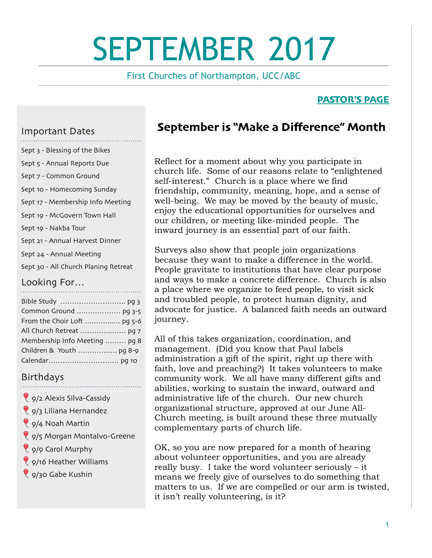# SEPTEMBER 2017

First Churches of Northampton, UCC/ABC

### **PASTOR'S PAGE**

### Important Dates

- Sept 3 Blessing of the Bikes
- Sept 5 Annual Reports Due
- Sept 7 Common Ground
- Sept 10 Homecoming Sunday
- Sept 17 Membership Info Meeting
- Sept 19 McGovern Town Hall
- Sept 19 Nakba Tour
- Sept 21 Annual Harvest Dinner
- Sept 24 Annual Meeting
- Sept 30 All Church Planing Retreat

# Looking For…

| Common Ground  pg 3-5         |
|-------------------------------|
| From the Choir Loft  pg 5-6   |
| All Church Retreat  pg 7      |
| Membership Info Meeting  pg 8 |
|                               |
|                               |

## **Birthdays**

- 9/2 Alexis Silva-Cassidy
- 9/3 Liliana Hernandez
- 9/4 Noah Martin
- 9/5 Morgan Montalvo-Greene
- 9/9 Carol Murphy
- 9/16 Heather Williams
- 8 9/30 Gabe Kushin

# **September is "Make a Difference" Month**

Reflect for a moment about why you participate in church life. Some of our reasons relate to "enlightened self-interest." Church is a place where we find friendship, community, meaning, hope, and a sense of well-being. We may be moved by the beauty of music, enjoy the educational opportunities for ourselves and our children, or meeting like-minded people. The inward journey is an essential part of our faith.

Surveys also show that people join organizations because they want to make a difference in the world. People gravitate to institutions that have clear purpose and ways to make a concrete difference. Church is also a place where we organize to feed people, to visit sick and troubled people, to protect human dignity, and advocate for justice. A balanced faith needs an outward journey.

All of this takes organization, coordination, and management. (Did you know that Paul labels administration a gift of the spirit, right up there with faith, love and preaching?) It takes volunteers to make community work. We all have many different gifts and abilities, working to sustain the inward, outward and administrative life of the church. Our new church organizational structure, approved at our June All-Church meeting, is built around these three mutually complementary parts of church life.

OK, so you are now prepared for a month of hearing about volunteer opportunities, and you are already really busy. I take the word volunteer seriously – it means we freely give of ourselves to do something that matters to us. If we are compelled or our arm is twisted, it isn't really volunteering, is it?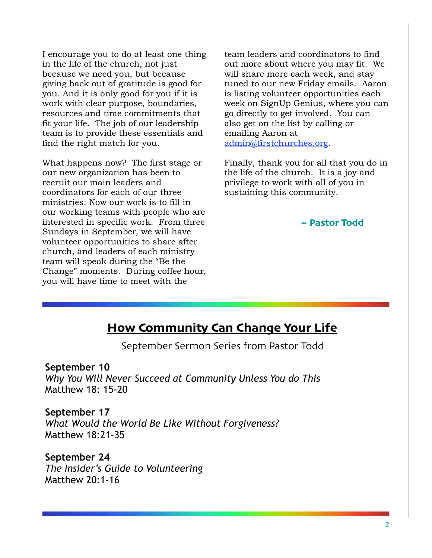I encourage you to do at least one thing in the life of the church, not just because we need you, but because giving back out of gratitude is good for you. And it is only good for you if it is work with clear purpose, boundaries, resources and time commitments that fit your life. The job of our leadership team is to provide these essentials and find the right match for you.

What happens now? The first stage or our new organization has been to recruit our main leaders and coordinators for each of our three ministries. Now our work is to fill in our working teams with people who are interested in specific work. From three Sundays in September, we will have volunteer opportunities to share after church, and leaders of each ministry team will speak during the "Be the Change" moments. During coffee hour, you will have time to meet with the

team leaders and coordinators to find out more about where you may fit. We will share more each week, and stay tuned to our new Friday emails. Aaron is listing volunteer opportunities each week on SignUp Genius, where you can go directly to get involved. You can also get on the list by calling or emailing Aaron at [admin@firstchurches.org](mailto:admin@firstchurches.org).

Finally, thank you for all that you do in the life of the church. It is a joy and privilege to work with all of you in sustaining this community.

**~ Pastor Todd**

# **How Community Can Change Your Life**

September Sermon Series from Pastor Todd

### **September 10**

*Why You Will Never Succeed at Community Unless You do This*  Matthew 18: 15-20

**September 17**  *What Would the World Be Like Without Forgiveness?*  Matthew 18:21-35

**September 24**  *The Insider's Guide to Volunteering*  Matthew 20:1-16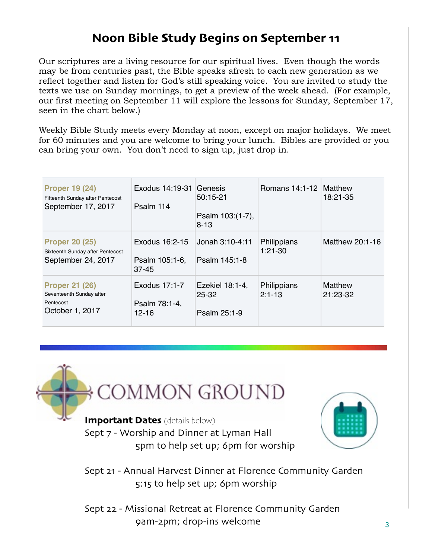# **Noon Bible Study Begins on September 11**

Our scriptures are a living resource for our spiritual lives. Even though the words may be from centuries past, the Bible speaks afresh to each new generation as we reflect together and listen for God's still speaking voice. You are invited to study the texts we use on Sunday mornings, to get a preview of the week ahead. (For example, our first meeting on September 11 will explore the lessons for Sunday, September 17, seen in the chart below.)

Weekly Bible Study meets every Monday at noon, except on major holidays. We meet for 60 minutes and you are welcome to bring your lunch. Bibles are provided or you can bring your own. You don't need to sign up, just drop in.

| <b>Proper 19 (24)</b><br>Fifteenth Sunday after Pentecost<br>September 17, 2017   | Exodus 14:19-31 Genesis<br>Psalm 114          | $50:15 - 21$<br>Psalm 103:(1-7),<br>$8 - 13$ | Romans 14:1-12 Matthew    | 18:21-35            |
|-----------------------------------------------------------------------------------|-----------------------------------------------|----------------------------------------------|---------------------------|---------------------|
| <b>Proper 20 (25)</b><br>Sixteenth Sunday after Pentecost<br>September 24, 2017   | Exodus 16:2-15<br>Psalm 105:1-6,<br>$37 - 45$ | Jonah 3:10-4:11<br>Psalm 145:1-8             | Philippians<br>$1:21-30$  | Matthew 20:1-16     |
| <b>Proper 21 (26)</b><br>Seventeenth Sunday after<br>Pentecost<br>October 1, 2017 | Exodus 17:1-7<br>Psalm 78:1-4,<br>$12 - 16$   | Ezekiel 18:1-4,<br>$25 - 32$<br>Psalm 25:1-9 | Philippians<br>$2:1 - 13$ | Matthew<br>21:23-32 |



**Important Dates** (details below) Sept 7 - Worship and Dinner at Lyman Hall 5pm to help set up; 6pm for worship



Sept 21 - Annual Harvest Dinner at Florence Community Garden 5:15 to help set up; 6pm worship

Sept 22 - Missional Retreat at Florence Community Garden 9am-2pm; drop-ins welcome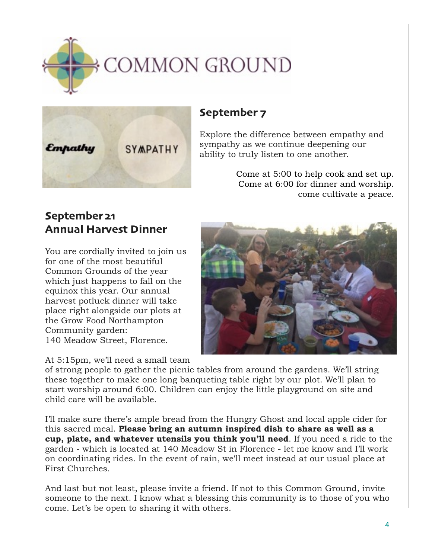



# **September 7**

Explore the difference between empathy and sympathy as we continue deepening our ability to truly listen to one another.

> Come at 5:00 to help cook and set up. Come at 6:00 for dinner and worship. come cultivate a peace.

# **September 21 Annual Harvest Dinner**

You are cordially invited to join us for one of the most beautiful Common Grounds of the year which just happens to fall on the equinox this year. Our annual harvest potluck dinner will take place right alongside our plots at the Grow Food Northampton Community garden: 140 Meadow Street, Florence.

At 5:15pm, we'll need a small team

of strong people to gather the picnic tables from around the gardens. We'll string these together to make one long banqueting table right by our plot. We'll plan to start worship around 6:00. Children can enjoy the little playground on site and child care will be available.

I'll make sure there's ample bread from the Hungry Ghost and local apple cider for this sacred meal. **Please bring an autumn inspired dish to share as well as a cup, plate, and whatever utensils you think you'll need**. If you need a ride to the garden - which is located at 140 Meadow St in Florence - let me know and I'll work on coordinating rides. In the event of rain, we'll meet instead at our usual place at First Churches.

And last but not least, please invite a friend. If not to this Common Ground, invite someone to the next. I know what a blessing this community is to those of you who come. Let's be open to sharing it with others.

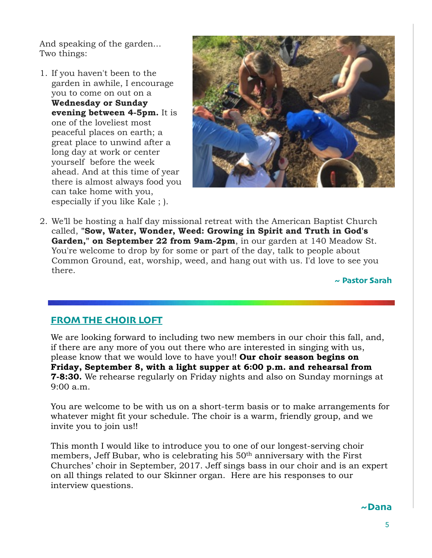And speaking of the garden... Two things:

1. If you haven't been to the garden in awhile, I encourage you to come on out on a **Wednesday or Sunday evening between 4-5pm.** It is one of the loveliest most peaceful places on earth; a great place to unwind after a long day at work or center yourself before the week ahead. And at this time of year there is almost always food you can take home with you, especially if you like Kale ; ).



2. We'll be hosting a half day missional retreat with the American Baptist Church called, **"Sow, Water, Wonder, Weed: Growing in Spirit and Truth in God's Garden," on September 22 from 9am-2pm**, in our garden at 140 Meadow St. You're welcome to drop by for some or part of the day, talk to people about Common Ground, eat, worship, weed, and hang out with us. I'd love to see you there.

**~ Pastor Sarah**

### **FROM THE CHOIR LOFT**

We are looking forward to including two new members in our choir this fall, and, if there are any more of you out there who are interested in singing with us, please know that we would love to have you!! **Our choir season begins on Friday, September 8, with a light supper at 6:00 p.m. and rehearsal from 7-8:30.** We rehearse regularly on Friday nights and also on Sunday mornings at 9:00 a.m.

You are welcome to be with us on a short-term basis or to make arrangements for whatever might fit your schedule. The choir is a warm, friendly group, and we invite you to join us!!

This month I would like to introduce you to one of our longest-serving choir members, Jeff Bubar, who is celebrating his 50<sup>th</sup> anniversary with the First Churches' choir in September, 2017. Jeff sings bass in our choir and is an expert on all things related to our Skinner organ. Here are his responses to our interview questions.

### **~Dana**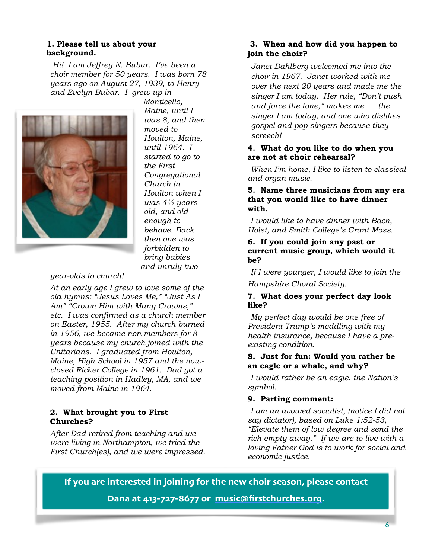#### **1. Please tell us about your background.**

*Hi! I am Jeffrey N. Bubar. I've been a choir member for 50 years. I was born 78 years ago on August 27, 1939, to Henry and Evelyn Bubar. I grew up in* 



*Monticello, Maine, until I was 8, and then moved to Houlton, Maine, until 1964. I started to go to the First Congregational Church in Houlton when I was 4½ years old, and old enough to behave. Back then one was forbidden to bring babies and unruly two-*

### *year-olds to church!*

*At an early age I grew to love some of the old hymns: "Jesus Loves Me," "Just As I Am" "Crown Him with Many Crowns," etc. I was confirmed as a church member on Easter, 1955. After my church burned in 1956, we became non-members for 8 years because my church joined with the Unitarians. I graduated from Houlton, Maine, High School in 1957 and the nowclosed Ricker College in 1961. Dad got a teaching position in Hadley, MA, and we moved from Maine in 1964.*

#### **2. What brought you to First Churches?**

*After Dad retired from teaching and we were living in Northampton, we tried the First Church(es), and we were impressed.*

### **3. When and how did you happen to join the choir?**

 *Janet Dahlberg welcomed me into the choir in 1967. Janet worked with me over the next 20 years and made me the singer I am today. Her rule, "Don't push and force the tone," makes me the singer I am today, and one who dislikes gospel and pop singers because they screech!* 

### **4. What do you like to do when you are not at choir rehearsal?**

*When I'm home, I like to listen to classical and organ music.* 

#### **5. Name three musicians from any era that you would like to have dinner with.**

 *I would like to have dinner with Bach, Holst, and Smith College's Grant Moss.* 

### **6. If you could join any past or current music group, which would it be?**

 *If I were younger, I would like to join the*

*Hampshire Choral Society.* 

#### **7. What does your perfect day look like?**

*My perfect day would be one free of President Trump's meddling with my health insurance, because I have a preexisting condition.* 

#### **8. Just for fun: Would you rather be an eagle or a whale, and why?**

*I would rather be an eagle, the Nation's symbol.* 

### **9. Parting comment:**

*I am an avowed socialist, (notice I did not say dictator), based on Luke 1:52-53, "Elevate them of low degree and send the rich empty away." If we are to live with a loving Father God is to work for social and economic justice.* 

**If you are interested in joining for the new choir season, please contact Dana at 413-727-8677 or [music@firstchurches](mailto:music@firstchurches.org).org.**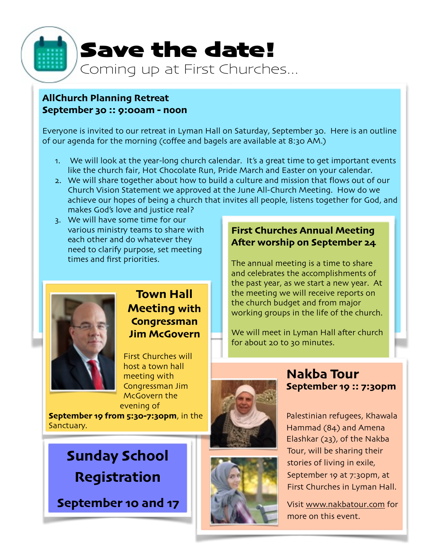

### **AllChurch Planning Retreat September 30 :: 9:00am - noon**

Everyone is invited to our retreat in Lyman Hall on Saturday, September 30. Here is an outline of our agenda for the morning (coffee and bagels are available at 8:30 AM.)

- 1. We will look at the year-long church calendar. It's a great time to get important events like the church fair, Hot Chocolate Run, Pride March and Easter on your calendar.
- 2. We will share together about how to build a culture and mission that flows out of our Church Vision Statement we approved at the June All-Church Meeting. How do we achieve our hopes of being a church that invites all people, listens together for God, and makes God's love and justice real?
- 3. We will have some time for our various ministry teams to share with each other and do whatever they need to clarify purpose, set meeting times and first priorities.



# **Town Hall Meeting with Congressman Jim McGovern**

First Churches will host a town hall meeting with Congressman Jim McGovern the evening of

**September 19 from 5:30-7:30pm**, in the Sanctuary.

# **Sunday School Registration**

**September 10 and 17**

### **First Churches Annual Meeting Afer worship on September 24**

The annual meeting is a time to share and celebrates the accomplishments of the past year, as we start a new year. At the meeting we will receive reports on the church budget and from major working groups in the life of the church.

We will meet in Lyman Hall after church for about 20 to 30 minutes.







# **Nakba Tour September 19 :: 7:30pm**

Palestinian refugees, Khawala Hammad (84) and Amena Elashkar (23), of the Nakba Tour, will be sharing their stories of living in exile, September 19 at 7:30pm, at First Churches in Lyman Hall.

Visit www.[nakbatour](http://www.nakbatour.com).com for more on this event.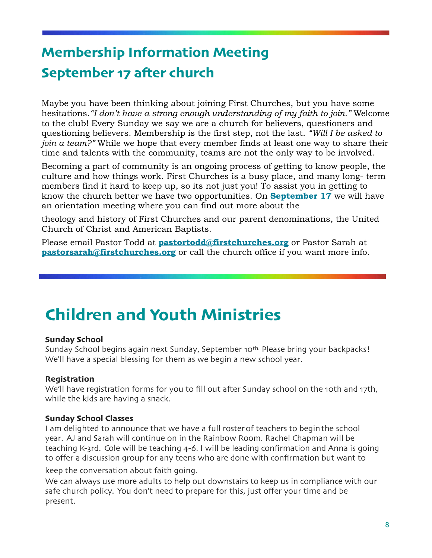# **Membership Information Meeting September 17 afer church**

Maybe you have been thinking about joining First Churches, but you have some hesitations.*"I don't have a strong enough understanding of my faith to join."* Welcome to the club! Every Sunday we say we are a church for believers, questioners and questioning believers. Membership is the first step, not the last. *"Will I be asked to join a team?"* While we hope that every member finds at least one way to share their time and talents with the community, teams are not the only way to be involved.

Becoming a part of community is an ongoing process of getting to know people, the culture and how things work. First Churches is a busy place, and many long- term members find it hard to keep up, so its not just you! To assist you in getting to know the church better we have two opportunities. On **September 17** we will have an orientation meeting where you can find out more about the

theology and history of First Churches and our parent denominations, the United Church of Christ and American Baptists.

Please email Pastor Todd at **[pastortodd@firstchurches.org](mailto:pastortodd@firstchurches.org)** or Pastor Sarah at **[pastorsarah@firstchurches.org](mailto:pastorsarah@firstchurches.org)** or call the church office if you want more info.

# **Children and Youth Ministries**

### **Sunday School**

Sunday School begins again next Sunday, September 10<sup>th.</sup> Please bring your backpacks! We'll have a special blessing for them as we begin a new school year.

### **Registration**

We'll have registration forms for you to fill out after Sunday school on the 10th and 17th, while the kids are having a snack.

### **Sunday School Classes**

I am delighted to announce that we have a full rosterof teachers to beginthe school year. AJ and Sarah will continue on in the Rainbow Room. Rachel Chapman will be teaching K-3rd. Cole will be teaching 4-6. I will be leading confirmation and Anna is going to offer a discussion group for any teens who are done with confirmation but want to

keep the conversation about faith going.

We can always use more adults to help out downstairs to keep us in compliance with our safe church policy. You don't need to prepare for this, just offer your time and be present.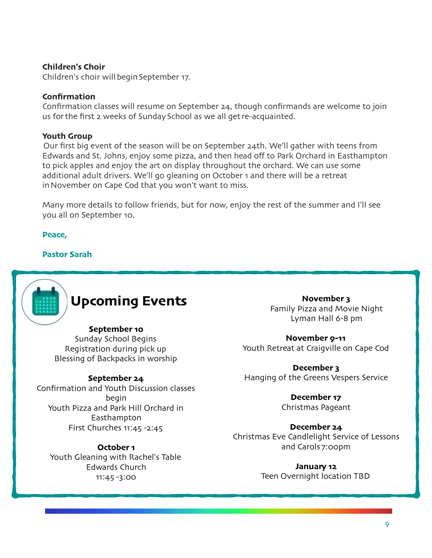### **Children's Choir**

Children's choir will begin September 17.

### **Confirmation**

Confirmation classes will resume on September 24, though confirmands are welcome to join us for the first 2 weeks of Sunday School as we all get re-acquainted.

### **Youth Group**

Our first big event of the season will be on September 24th. We'll gather with teens from Edwards and St. Johns, enjoy some pizza, and then head off to Park Orchard in Easthampton to pick apples and enjoy the art on display throughout the orchard. We can use some additional adult drivers. We'll go gleaning on October 1 and there will be a retreat in November on Cape Cod that you won't want to miss.

Many more details to follow friends, but for now, enjoy the rest of the summer and I'll see you all on September 10.

**Peace,**

### **Pastor Sarah**



# **Upcoming Events**

### **September 10**

Sunday School Begins Registration during pick up Blessing of Backpacks in worship

### **September 24**

Confirmation and Youth Discussion classes begin Youth Pizza and Park Hill Orchard in Easthampton First Churches 11:45 -2:45

### **October 1**

Youth Gleaning with Rachel's Table Edwards Church 11:45 -3:00

**November 3** Family Pizza and Movie Night Lyman Hall 6-8 pm

**November 9-11** Youth Retreat at Craigville on Cape Cod

**December 3** Hanging of the Greens Vespers Service

> **December 17** Christmas Pageant

**December 24** Christmas Eve Candlelight Service of Lessons and Carols 7:00pm

> **January 12** Teen Overnight location TBD